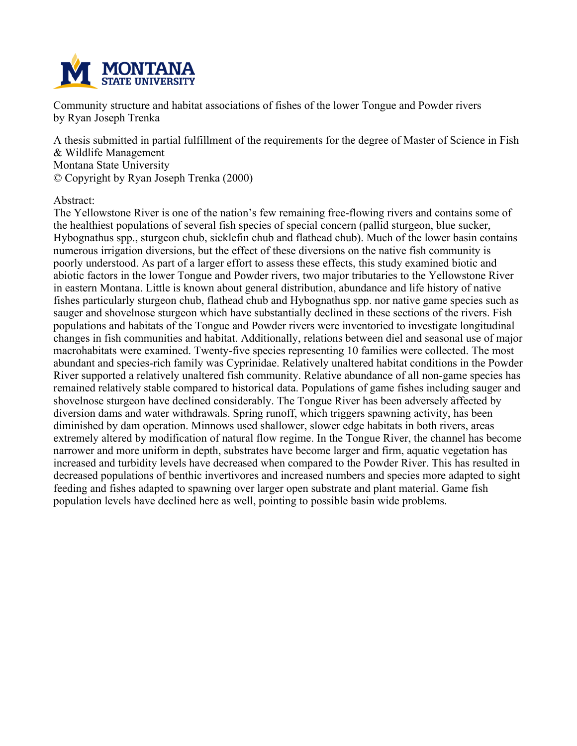

**Community structure and habitat associations of fishes of the lower Tongue and Powder rivers by Ryan Joseph Trenka**

A thesis submitted in partial fulfillment of the requirements for the degree of Master of Science in Fish **& Wildlife Management Montana State University © Copyright by Ryan Joseph Trenka (2000)**

**Abstract:**

**The Yellowstone River is one of the nation's few remaining free-flowing rivers and contains some of the healthiest populations of several fish species of special concern (pallid sturgeon, blue sucker, Hybognathus spp., sturgeon chub, sicklefin chub and flathead chub). Much of the lower basin contains numerous irrigation diversions, but the effect of these diversions on the native fish community is poorly understood. As part of a larger effort to assess these effects, this study examined biotic and abiotic factors in the lower Tongue and Powder rivers, two major tributaries to the Yellowstone River in eastern Montana. Little is known about general distribution, abundance and life history of native fishes particularly sturgeon chub, flathead chub and Hybognathus spp. nor native game species such as sauger and shovelnose sturgeon which have substantially declined in these sections of the rivers. Fish populations and habitats of the Tongue and Powder rivers were inventoried to investigate longitudinal changes in fish communities and habitat. Additionally, relations between diel and seasonal use of major macrohabitats were examined. Twenty-five species representing 10 families were collected. The most abundant and species-rich family was Cyprinidae. Relatively unaltered habitat conditions in the Powder River supported a relatively unaltered fish community. Relative abundance of all non-game species has remained relatively stable compared to historical data. Populations of game fishes including sauger and shovelnose sturgeon have declined considerably. The Tongue River has been adversely affected by diversion dams and water withdrawals. Spring runoff, which triggers spawning activity, has been diminished by dam operation. Minnows used shallower, slower edge habitats in both rivers, areas extremely altered by modification of natural flow regime. In the Tongue River, the channel has become narrower and more uniform in depth, substrates have become larger and firm, aquatic vegetation has increased and turbidity levels have decreased when compared to the Powder River. This has resulted in decreased populations of benthic invertivores and increased numbers and species more adapted to sight feeding and fishes adapted to spawning over larger open substrate and plant material. Game fish population levels have declined here as well, pointing to possible basin wide problems.**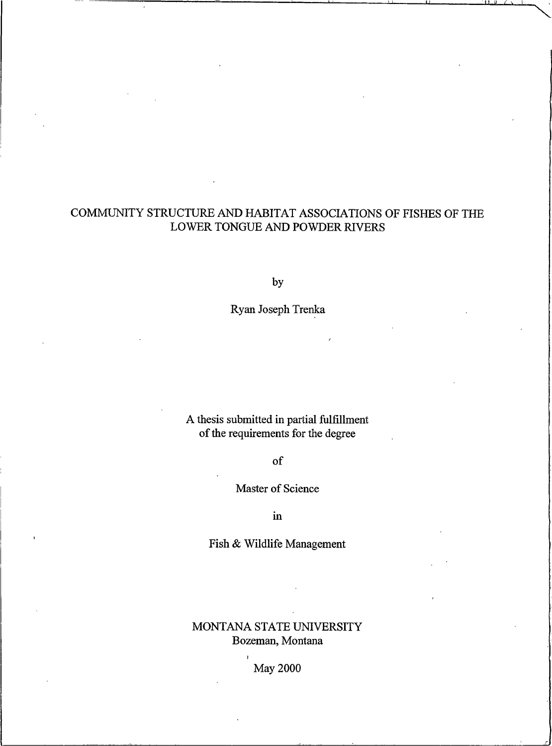## COMMUNITY STRUCTURE AND HABITAT ASSOCIATIONS OF FISHES OF THE LOWER TONGUE AND POWDER RIVERS

by

Ryan Joseph Trenka

A thesis submitted in partial fulfillment of the requirements for the degree

of

Master of Science

 $\mathbf{i}$ n

Fish & Wildlife Management

## MONTANA STATE UNIVERSITY Bozeman, Montana

**May 2000**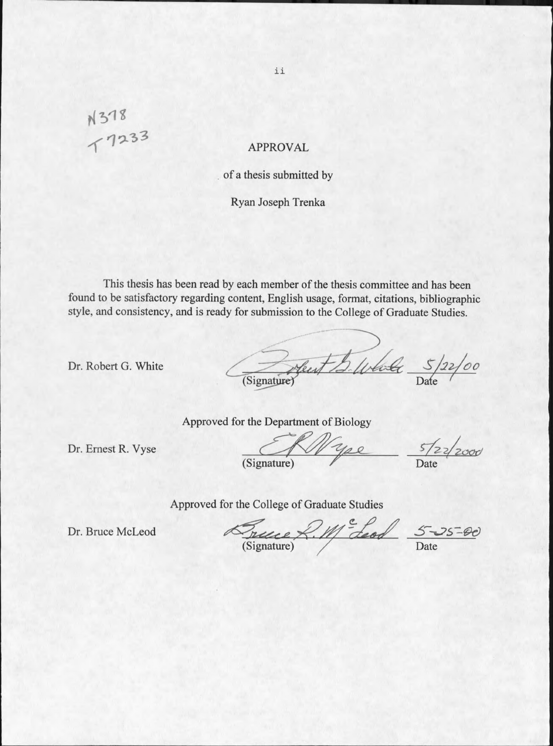# N 318<br>T 7233

## **APPROVAL**

## of a thesis submitted by

## Ryan Joseph Trenka

This thesis has been read by each member of the thesis committee and has been found to be satisfactory regarding content, English usage, format, citations, bibliographic style, and consistency, and is ready for submission to the College of Graduate Studies.

Dr. Robert G. White

Heut S. Whole 5/22/00

Approved for the Department of Biology

Dr. Ernest R. Vyse

00 (Signature)

 $\frac{5}{22}/2000$ 

Approved for the College of Graduate Studies

Dr. Bruce McLeod

France R. Me Leod

 $5 - 25 - 00$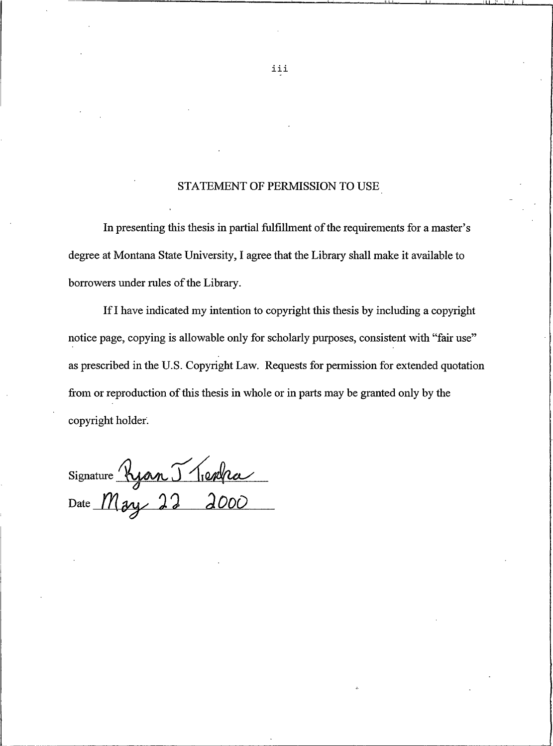## STATEMENT OF PERMISSION TO USE

In presenting this thesis in partial fulfillment of the requirements for a master's degree at Montana State University, I agree that the Library shall make it available to borrowers under rules of the Library.

If I have indicated my intention to copyright this thesis by including a copyright notice page, copying is allowable only for scholarly purposes, consistent with "fair use" as prescribed in the U.S. Copyright Law. Requests for permission for extended quotation from or reproduction of this thesis in whole or in parts may be granted only by the copyright holder.

Signature Ryan J Tienha

iii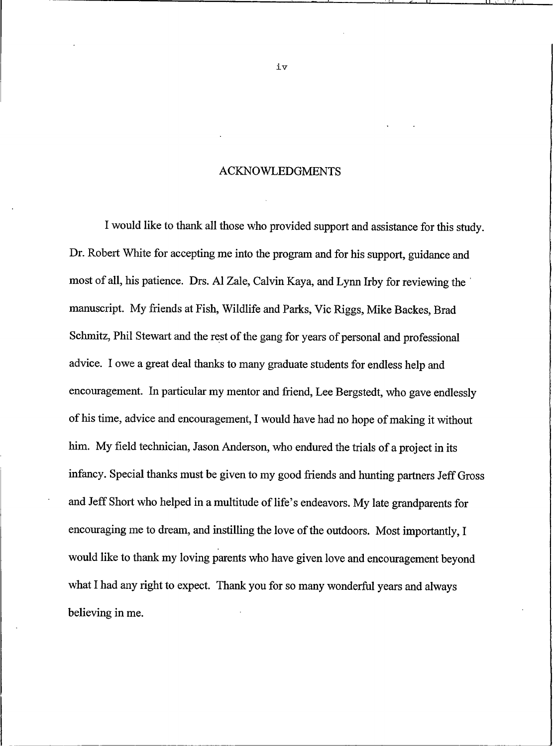## **ACKNOWLEDGMENTS**

I would like to thank all those who provided support and assistance for this study. Dr. Robert White for accepting me into the program and for his support, guidance and most of all, his patience. Drs. Al Zale, Calvin Kaya, and Lynn Irby for reviewing the manuscript. My friends at Fish, Wildlife and Parks, Vic Riggs, Mike Backes, Brad Schmitz, Phil Stewart and the rest of the gang for years of personal and professional advice. I owe a great deal thanks to many graduate students for endless help and encouragement. In particular my mentor and friend, Lee Bergstedt, who gave endlessly of his time, advice and encouragement, I would have had no hope of making it without him. My field technician, Jason Anderson, who endured the trials of a project in its infancy. Special thanks must be given to my good friends and hunting partners Jeff Gross and Jeff Short who helped in a multitude of life's endeavors. My late grandparents for encouraging me to dream, and instilling the love of the outdoors. Most importantly, I would like to thank my loving parents who have given love and encouragement beyond what I had any right to expect. Thank you for so many wonderful years and always believing in me.

iv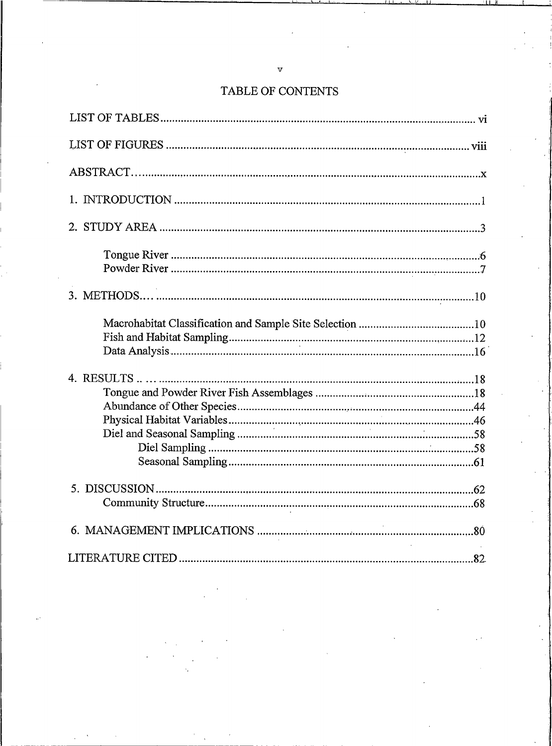| 4. RESULTS |  |
|------------|--|
|            |  |
|            |  |
|            |  |
|            |  |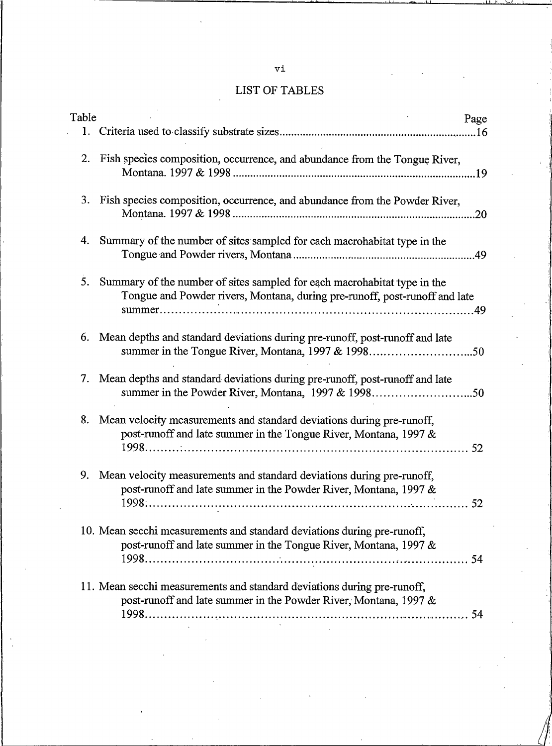## LIST OF TABLES

| Table |                                                                                                                                                        | Page |  |
|-------|--------------------------------------------------------------------------------------------------------------------------------------------------------|------|--|
|       |                                                                                                                                                        |      |  |
|       | Fish species composition, occurrence, and abundance from the Tongue River,                                                                             |      |  |
|       | 3. Fish species composition, occurrence, and abundance from the Powder River,                                                                          |      |  |
|       | Summary of the number of sites sampled for each macrohabitat type in the                                                                               |      |  |
| 5.    | Summary of the number of sites sampled for each macrohabitat type in the<br>Tongue and Powder rivers, Montana, during pre-runoff, post-runoff and late |      |  |
|       | 6. Mean depths and standard deviations during pre-runoff, post-runoff and late                                                                         |      |  |
|       | Mean depths and standard deviations during pre-runoff, post-runoff and late                                                                            |      |  |
| 8.    | Mean velocity measurements and standard deviations during pre-runoff,<br>post-runoff and late summer in the Tongue River, Montana, 1997 &              |      |  |
| 9.    | Mean velocity measurements and standard deviations during pre-runoff,<br>post-runoff and late summer in the Powder River, Montana, 1997 &              |      |  |
|       | 10. Mean secchi measurements and standard deviations during pre-runoff,<br>post-runoff and late summer in the Tongue River, Montana, 1997 &            |      |  |
|       | 11. Mean secchi measurements and standard deviations during pre-runoff,<br>post-runoff and late summer in the Powder River, Montana, 1997 &            |      |  |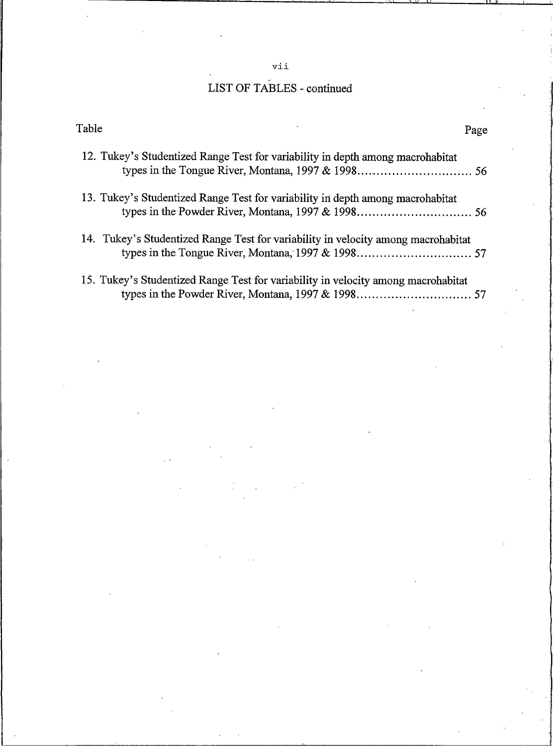## vi

# LIST OF TABLES - continued

| Table                                                                             | Page |
|-----------------------------------------------------------------------------------|------|
| 12. Tukey's Studentized Range Test for variability in depth among macrohabitat    |      |
| 13. Tukey's Studentized Range Test for variability in depth among macrohabitat    |      |
| 14. Tukey's Studentized Range Test for variability in velocity among macrohabitat |      |
| 15. Tukey's Studentized Range Test for variability in velocity among macrohabitat |      |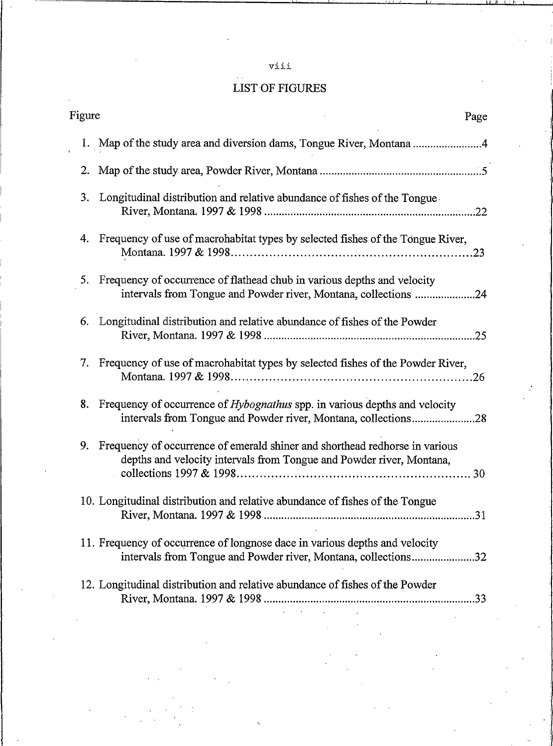## vii

# **LIST OF FIGURES**

| Figure |    |                                                                                                                                                                                                                                                                                                                                                                                                                                                                                                                                             | Page |
|--------|----|---------------------------------------------------------------------------------------------------------------------------------------------------------------------------------------------------------------------------------------------------------------------------------------------------------------------------------------------------------------------------------------------------------------------------------------------------------------------------------------------------------------------------------------------|------|
|        |    | 1. Map of the study area and diversion dams, Tongue River, Montana 4                                                                                                                                                                                                                                                                                                                                                                                                                                                                        |      |
|        |    |                                                                                                                                                                                                                                                                                                                                                                                                                                                                                                                                             |      |
|        | 3. | Longitudinal distribution and relative abundance of fishes of the Tongue                                                                                                                                                                                                                                                                                                                                                                                                                                                                    |      |
|        |    | 4. Frequency of use of macrohabitat types by selected fishes of the Tongue River,                                                                                                                                                                                                                                                                                                                                                                                                                                                           |      |
|        |    | 5. Frequency of occurrence of flathead chub in various depths and velocity<br>intervals from Tongue and Powder river, Montana, collections 24                                                                                                                                                                                                                                                                                                                                                                                               |      |
|        | 6. | Longitudinal distribution and relative abundance of fishes of the Powder                                                                                                                                                                                                                                                                                                                                                                                                                                                                    |      |
|        |    | 7. Frequency of use of macrohabitat types by selected fishes of the Powder River,                                                                                                                                                                                                                                                                                                                                                                                                                                                           |      |
|        | 8. | Frequency of occurrence of <i>Hybognathus</i> spp. in various depths and velocity<br>intervals from Tongue and Powder river, Montana, collections28                                                                                                                                                                                                                                                                                                                                                                                         |      |
|        |    | 9. Frequency of occurrence of emerald shiner and shorthead redhorse in various<br>depths and velocity intervals from Tongue and Powder river, Montana,                                                                                                                                                                                                                                                                                                                                                                                      |      |
|        |    | 10. Longitudinal distribution and relative abundance of fishes of the Tongue                                                                                                                                                                                                                                                                                                                                                                                                                                                                |      |
|        |    | 11. Frequency of occurrence of longnose dace in various depths and velocity<br>intervals from Tongue and Powder river, Montana, collections32                                                                                                                                                                                                                                                                                                                                                                                               |      |
|        |    | 12. Longitudinal distribution and relative abundance of fishes of the Powder<br>$\mathcal{L}(\mathcal{L}(\mathcal{L}(\mathcal{L}(\mathcal{L}(\mathcal{L}(\mathcal{L}(\mathcal{L}(\mathcal{L}(\mathcal{L}(\mathcal{L}(\mathcal{L}(\mathcal{L}(\mathcal{L}(\mathcal{L}(\mathcal{L}(\mathcal{L}(\mathcal{L}(\mathcal{L}(\mathcal{L}(\mathcal{L}(\mathcal{L}(\mathcal{L}(\mathcal{L}(\mathcal{L}(\mathcal{L}(\mathcal{L}(\mathcal{L}(\mathcal{L}(\mathcal{L}(\mathcal{L}(\mathcal{L}(\mathcal{L}(\mathcal{L}(\mathcal{L}(\mathcal{L}(\mathcal{$ |      |
|        |    |                                                                                                                                                                                                                                                                                                                                                                                                                                                                                                                                             |      |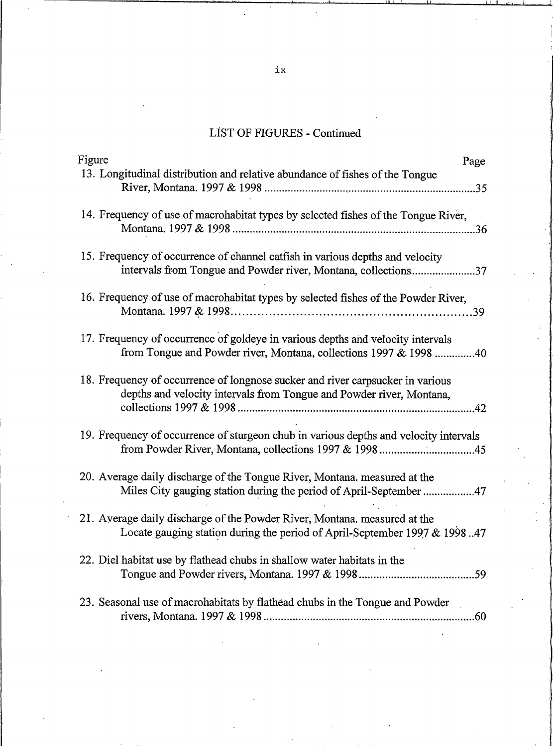## LIST OF FIGURES -

| Figure                                                                                                                                                 | Page |
|--------------------------------------------------------------------------------------------------------------------------------------------------------|------|
| 13. Longitudinal distribution and relative abundance of fishes of the Tongue                                                                           |      |
| 14. Frequency of use of macrohabitat types by selected fishes of the Tongue River,                                                                     |      |
|                                                                                                                                                        |      |
| 15. Frequency of occurrence of channel catfish in various depths and velocity                                                                          |      |
| intervals from Tongue and Powder river, Montana, collections37                                                                                         |      |
| 16. Frequency of use of macrohabitat types by selected fishes of the Powder River,                                                                     |      |
| 17. Frequency of occurrence of goldeye in various depths and velocity intervals<br>from Tongue and Powder river, Montana, collections 1997 & 1998 40   |      |
| 18. Frequency of occurrence of longnose sucker and river carpsucker in various<br>depths and velocity intervals from Tongue and Powder river, Montana, |      |
| 19. Frequency of occurrence of sturgeon chub in various depths and velocity intervals<br>from Powder River, Montana, collections 1997 & 199845         |      |
| 20. Average daily discharge of the Tongue River, Montana. measured at the<br>Miles City gauging station during the period of April-September 47        |      |
| 21. Average daily discharge of the Powder River, Montana. measured at the<br>Locate gauging station during the period of April-September 1997 & 199847 |      |
| 22. Diel habitat use by flathead chubs in shallow water habitats in the                                                                                |      |
| 23. Seasonal use of macrohabitats by flathead chubs in the Tongue and Powder                                                                           |      |

 $\mathbf{i}$ :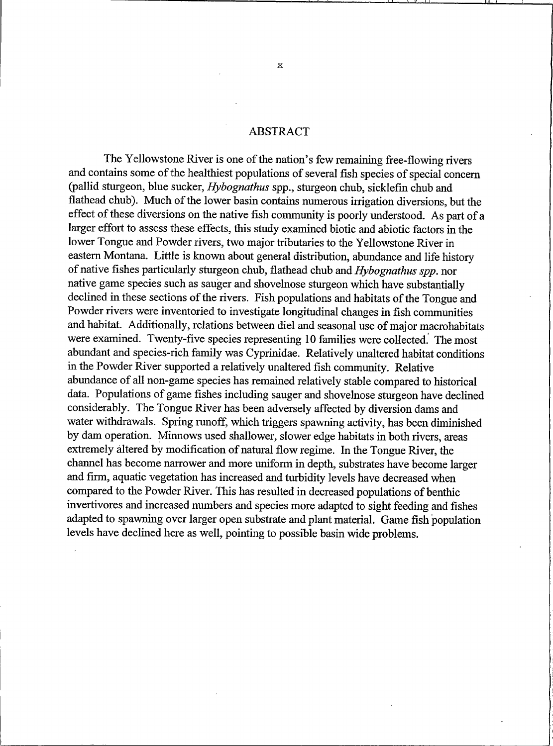## **ABSTRACT**

The Yellowstone River is one of the nation's few remaining free-flowing rivers and contains some of the healthiest populations of several fish species of special concern (pallid sturgeon, blue sucker, Hybognathus spp., sturgeon chub, sicklefin chub and flathead chub). Much of the lower basin contains numerous irrigation diversions, but the effect of these diversions on the native fish community is poorly understood. As part of a larger effort to assess these effects, this study examined biotic and abiotic factors in the lower Tongue and Powder rivers, two major tributaries to the Yellowstone River in eastern Montana. Little is known about general distribution, abundance and life history of native fishes particularly sturgeon chub, flathead chub and Hybognathus spp. nor native game species such as sauger and shovelnose sturgeon which have substantially declined in these sections of the rivers. Fish populations and habitats of the Tongue and Powder rivers were inventoried to investigate longitudinal changes in fish communities and habitat. Additionally, relations between diel and seasonal use of major macrohabitats were examined. Twenty-five species representing 10 families were collected. The most abundant and species-rich family was Cyprinidae. Relatively unaltered habitat conditions in the Powder River supported a relatively unaltered fish community. Relative abundance of all non-game species has remained relatively stable compared to historical data. Populations of game fishes including sauger and shovelnose sturgeon have declined considerably. The Tongue River has been adversely affected by diversion dams and water withdrawals. Spring runoff, which triggers spawning activity, has been diminished by dam operation. Minnows used shallower, slower edge habitats in both rivers, areas extremely altered by modification of natural flow regime. In the Tongue River, the channel has become narrower and more uniform in depth, substrates have become larger and firm, aquatic vegetation has increased and turbidity levels have decreased when compared to the Powder River. This has resulted in decreased populations of benthic invertivores and increased numbers and species more adapted to sight feeding and fishes adapted to spawning over larger open substrate and plant material. Game fish population levels have declined here as well, pointing to possible basin wide problems.

 $\mathbf{x}$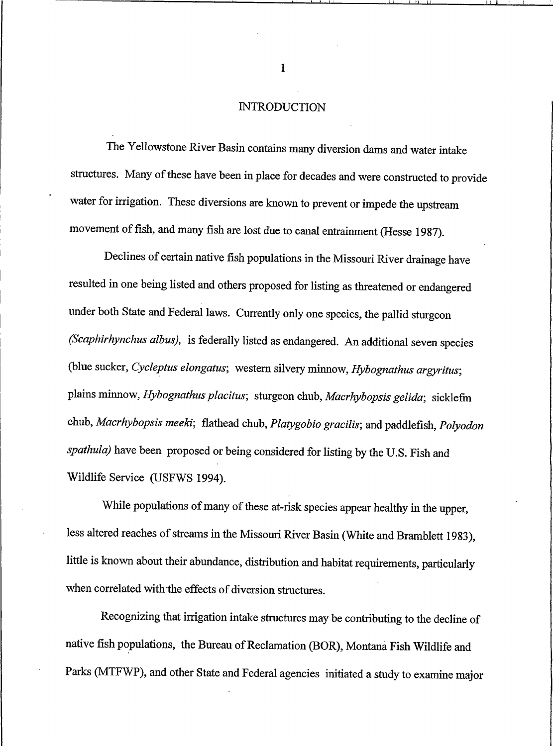## **INTRODUCTION**

<span id="page-11-0"></span>The Yellowstone River Basin contains many diversion dams and water intake structures. Many of these have been in place for decades and were constructed to provide water for irrigation. These diversions are known to prevent or impede the upstream movement of fish, and many fish are lost due to canal entrainment (Hesse 1987).

Declines of certain native fish populations in the Missouri River drainage have resulted in one being listed and others proposed for listing as threatened or endangered under both State and Federal laws. Currently only one species, the pallid sturgeon (Scaphirhynchus albus), is federally listed as endangered. An additional seven species (blue sucker, Cycleptus elongatus; western silvery minnow, Hybognathus argyritus; plains minnow, Hybognathus placitus; sturgeon chub, Macrhybopsis gelida; sicklefin chub, Macrhybopsis meeki; flathead chub, Platygobio gracilis; and paddlefish, Polyodon spathula) have been proposed or being considered for listing by the U.S. Fish and Wildlife Service (USFWS 1994).

While populations of many of these at-risk species appear healthy in the upper, less altered reaches of streams in the Missouri River Basin (White and Bramblett 1983), little is known about their abundance, distribution and habitat requirements, particularly when correlated with the effects of diversion structures.

Recognizing that irrigation intake structures may be contributing to the decline of native fish populations, the Bureau of Reclamation (BOR), Montana Fish Wildlife and Parks (MTFWP), and other State and Federal agencies initiated a study to examine major

 $\mathbf{1}$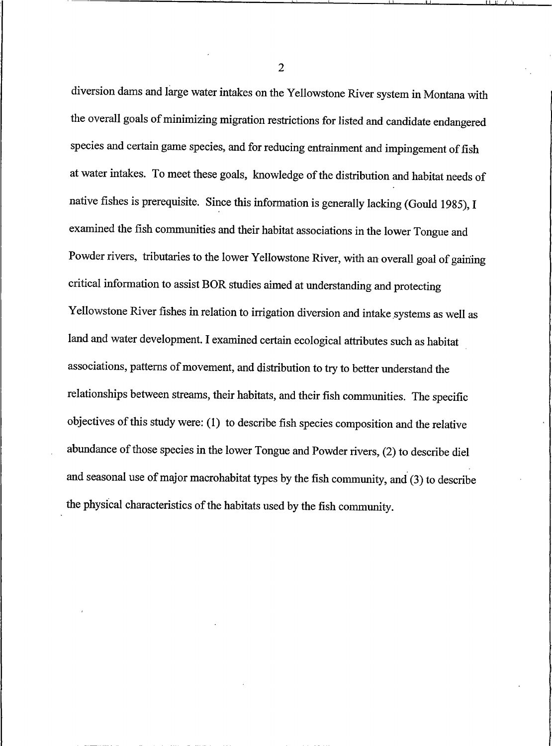diversion dams and large water intakes on the Yellowstone River system in Montana with the overall goals of minimizing migration restrictions for listed and candidate endangered species and certain game species, and for reducing entrainment and impingement of fish at water intakes. To meet these goals, knowledge of the distribution and habitat needs of native fishes is prerequisite. Since this information is generally lacking (Gould 1985), I examined the fish communities and their habitat associations in the lower Tongue and Powder rivers, tributaries to the lower Yellowstone River, with an overall goal of gaining critical information to assist BOR studies aimed at understanding and protecting Yellowstone River fishes in relation to irrigation diversion and intake systems as well as land and water development. I examined certain ecological attributes such as habitat associations, patterns of movement, and distribution to try to better understand the relationships between streams, their habitats, and their fish communities. The specific objectives of this study were: (1) to describe fish species composition and the relative abundance of those species in the lower Tongue and Powder rivers, (2) to describe diel and seasonal use of major macrohabitat types by the fish community, and (3) to describe the physical characteristics of the habitats used by the fish community.

 $\overline{2}$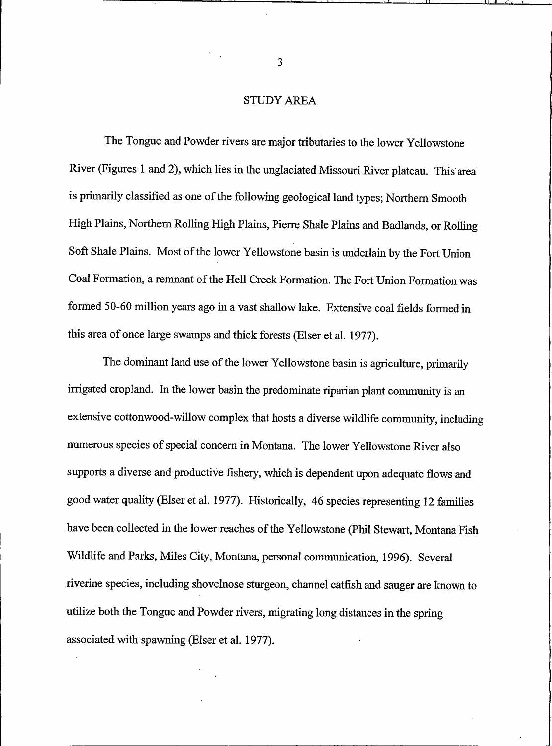## **STUDY AREA**

<span id="page-13-0"></span>The Tongue and Powder rivers are major tributaries to the lower Yellowstone River (Figures 1 and 2), which lies in the unglaciated Missouri River plateau. This area is primarily classified as one of the following geological land types; Northern Smooth High Plains, Northern Rolling High Plains, Pierre Shale Plains and Badlands, or Rolling Soft Shale Plains. Most of the lower Yellowstone basin is underlain by the Fort Union Coal Formation, a remnant of the Hell Creek Formation. The Fort Union Formation was formed 50-60 million years ago in a vast shallow lake. Extensive coal fields formed in this area of once large swamps and thick forests (Elser et al. 1977).

The dominant land use of the lower Yellowstone basin is agriculture, primarily irrigated cropland. In the lower basin the predominate riparian plant community is an extensive cottonwood-willow complex that hosts a diverse wildlife community, including numerous species of special concern in Montana. The lower Yellowstone River also supports a diverse and productive fishery, which is dependent upon adequate flows and good water quality (Elser et al. 1977). Historically, 46 species representing 12 families have been collected in the lower reaches of the Yellowstone (Phil Stewart, Montana Fish Wildlife and Parks, Miles City, Montana, personal communication, 1996). Several riverine species, including shovelnose sturgeon, channel catfish and sauger are known to utilize both the Tongue and Powder rivers, migrating long distances in the spring associated with spawning (Elser et al. 1977).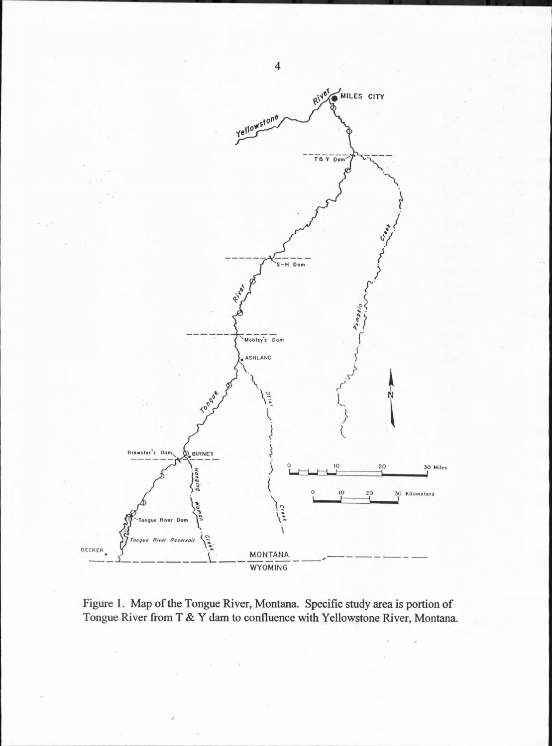

Figure 1. Map of the Tongue River, Montana. Specific study area is portion of Tongue River from T & Y dam to confluence with Yellowstone River, Montana.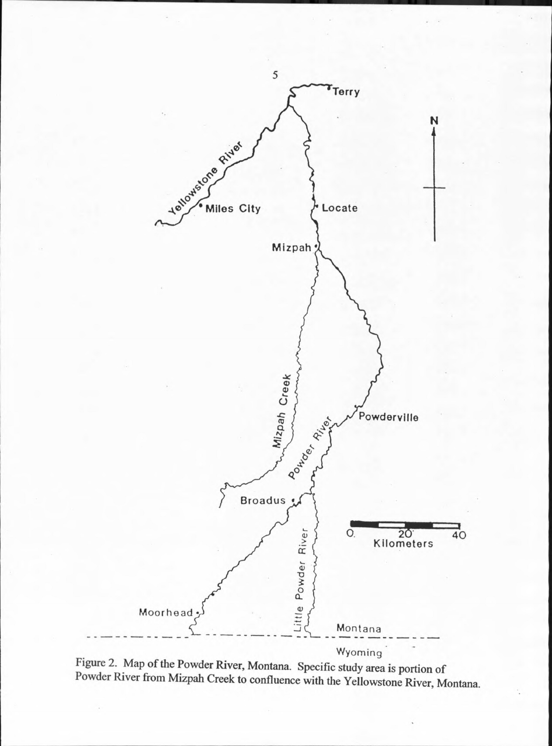

Figure 2. Map of the Powder River, Montana. Specific study area is portion of Powder River from Mizpah Creek to confluence with the Yellowstone River, Montana.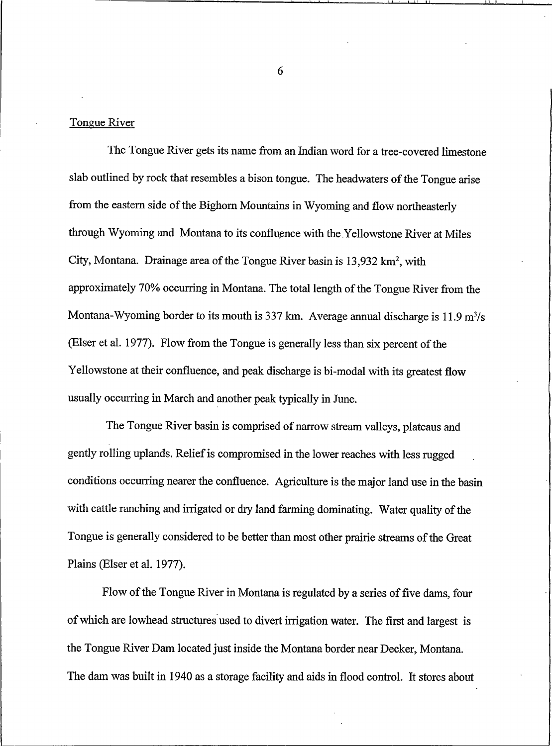Tongue River

The Tongue River gets its name from an Indian word for a tree-covered limestone slab outlined by rock that resembles a bison tongue. The headwaters of the Tongue arise from the eastern side of the Bighorn Mountains in Wyoming and flow northeasterly through Wyoming and Montana to its confluence with the Yellowstone River at Miles City, Montana. Drainage area of the Tongue River basin is 13,932 km<sup>2</sup>, with approximately 70% occurring in Montana. The total length of the Tongue River from the Montana-Wyoming border to its mouth is 337 km. Average annual discharge is 11.9 m<sup>3</sup>/s (Elser et al. 1977). Flow from the Tongue is generally less than six percent of the Yellowstone at their confluence, and peak discharge is bi-modal with its greatest flow usually occurring in March and another peak typically in June.

The Tongue River basin is comprised of narrow stream valleys, plateaus and gently rolling uplands. Relief is compromised in the lower reaches with less rugged conditions occurring nearer the confluence. Agriculture is the major land use in the basin with cattle ranching and irrigated or dry land farming dominating. Water quality of the Tongue is generally considered to be better than most other prairie streams of the Great Plains (Elser et al. 1977).

Flow of the Tongue River in Montana is regulated by a series of five dams, four of which are lowhead structures used to divert irrigation water. The first and largest is the Tongue River Dam located just inside the Montana border near Decker, Montana. The dam was built in 1940 as a storage facility and aids in flood control. It stores about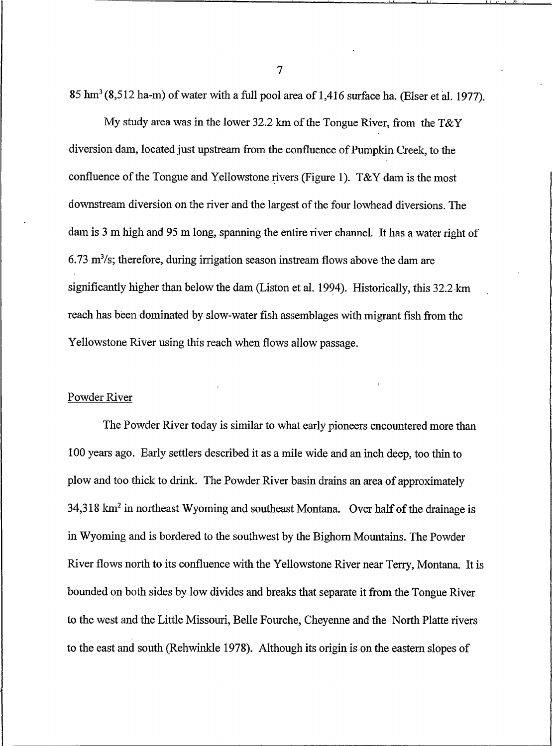85 hm<sup>3</sup> (8,512 ha-m) of water with a full pool area of 1,416 surface ha. (Elser et al. 1977).

My study area was in the lower 32.2 km of the Tongue River, from the T&Y diversion dam, located just upstream from the confluence of Pumpkin Creek, to the confluence of the Tongue and Yellowstone rivers (Figure 1). T&Y dam is the most downstream diversion on the river and the largest of the four lowhead diversions. The dam is 3 m high and 95 m long, spanning the entire river channel. It has a water right of  $6.73$  m<sup>3</sup>/s; therefore, during irrigation season instream flows above the dam are significantly higher than below the dam (Liston et al. 1994). Historically, this 32.2 km reach has been dominated by slow-water fish assemblages with migrant fish from the Yellowstone River using this reach when flows allow passage.

## Powder River

The Powder River today is similar to what early pioneers encountered more than 100 years ago. Early settlers described it as a mile wide and an inch deep, too thin to plow and too thick to drink. The Powder River basin drains an area of approximately 34,318 km<sup>2</sup> in northeast Wyoming and southeast Montana. Over half of the drainage is in Wyoming and is bordered to the southwest by the Bighorn Mountains. The Powder River flows north to its confluence with the Yellowstone River near Terry, Montana. It is bounded on both sides by low divides and breaks that separate it from the Tongue River to the west and the Little Missouri, Belle Fourche, Cheyenne and the North Platte rivers to the east and south (Rehwinkle 1978). Although its origin is on the eastern slopes of

 $\overline{7}$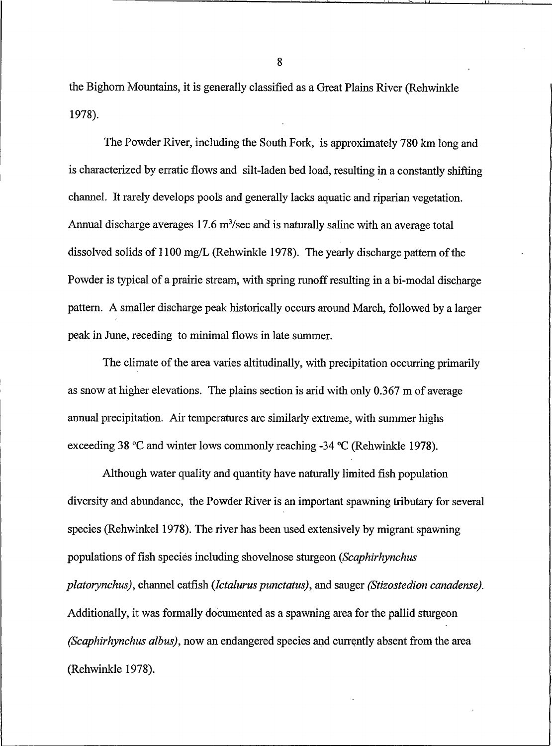the Bighorn Mountains, it is generally classified as a Great Plains River (Rehwinkle 1978).

The Powder River, including the South Fork, is approximately 780 km long and is characterized by erratic flows and silt-laden bed load, resulting in a constantly shifting channel. It rarely develops pools and generally lacks aquatic and riparian vegetation. Annual discharge averages  $17.6 \text{ m}^3/\text{sec}$  and is naturally saline with an average total dissolved solids of 1100 mg/L (Rehwinkle 1978). The yearly discharge pattern of the Powder is typical of a prairie stream, with spring runoff resulting in a bi-modal discharge pattern. A smaller discharge peak historically occurs around March, followed by a larger peak in June, receding to minimal flows in late summer.

The climate of the area varies altitudinally, with precipitation occurring primarily as snow at higher elevations. The plains section is arid with only 0.367 m of average annual precipitation. Air temperatures are similarly extreme, with summer highs exceeding 38 °C and winter lows commonly reaching -34 °C (Rehwinkle 1978).

Although water quality and quantity have naturally limited fish population diversity and abundance, the Powder River is an important spawning tributary for several species (Rehwinkel 1978). The river has been used extensively by migrant spawning populations of fish species including shovelnose sturgeon (Scaphirhynchus platorynchus), channel catfish (Ictalurus punctatus), and sauger (Stizostedion canadense). Additionally, it was formally documented as a spawning area for the pallid sturgeon (Scaphirhynchus albus), now an endangered species and currently absent from the area (Rehwinkle 1978).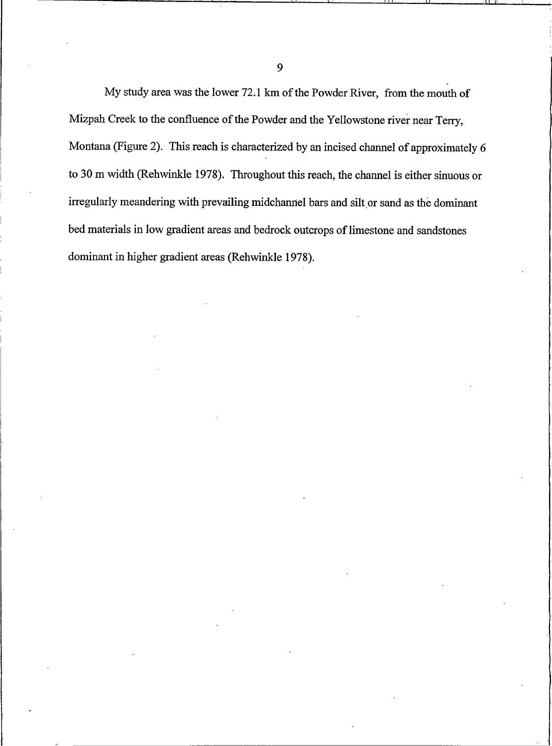My study area was the lower 72.1 km of the Powder River, from the mouth of Mizpah Creek to the confluence of the Powder and the Yellowstone river near Terry, Montana (Figure 2). This reach is characterized by an incised channel of approximately 6 to 30 m width (Rehwinkle 1978). Throughout this reach, the channel is either sinuous or irregularly meandering with prevailing midchannel bars and silt or sand as the dominant bed materials in low gradient areas and bedrock outcrops of limestone and sandstones dominant in higher gradient areas (Rehwinkle 1978).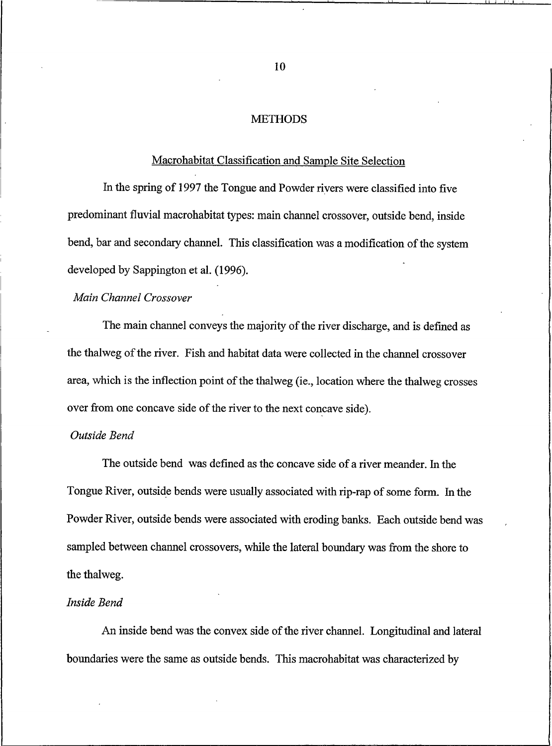## **METHODS**

#### Macrohabitat Classification and Sample Site Selection

In the spring of 1997 the Tongue and Powder rivers were classified into five predominant fluvial macrohabitat types: main channel crossover, outside bend, inside bend, bar and secondary channel. This classification was a modification of the system developed by Sappington et al. (1996).

## Main Channel Crossover

The main channel conveys the majority of the river discharge, and is defined as the thalweg of the river. Fish and habitat data were collected in the channel crossover area, which is the inflection point of the thalweg (ie., location where the thalweg crosses over from one concave side of the river to the next concave side).

## Outside Bend

The outside bend was defined as the concave side of a river meander. In the Tongue River, outside bends were usually associated with rip-rap of some form. In the Powder River, outside bends were associated with eroding banks. Each outside bend was sampled between channel crossovers, while the lateral boundary was from the shore to the thalweg.

### Inside Bend

An inside bend was the convex side of the river channel. Longitudinal and lateral boundaries were the same as outside bends. This macrohabitat was characterized by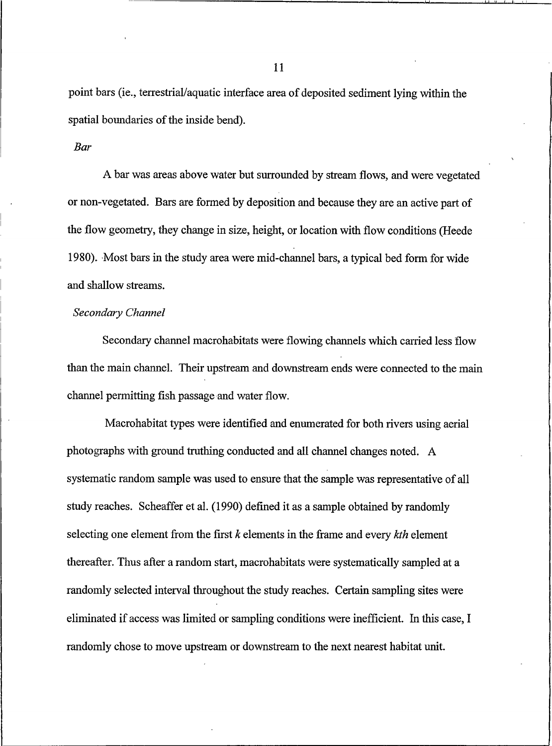point bars (ie., terrestrial/aquatic interface area of deposited sediment lying within the spatial boundaries of the inside bend).

#### **Bar**

A bar was areas above water but surrounded by stream flows, and were vegetated or non-vegetated. Bars are formed by deposition and because they are an active part of the flow geometry, they change in size, height, or location with flow conditions (Heede 1980). Most bars in the study area were mid-channel bars, a typical bed form for wide and shallow streams.

## Secondary Channel

Secondary channel macrohabitats were flowing channels which carried less flow than the main channel. Their upstream and downstream ends were connected to the main channel permitting fish passage and water flow.

Macrohabitat types were identified and enumerated for both rivers using aerial photographs with ground truthing conducted and all channel changes noted. A systematic random sample was used to ensure that the sample was representative of all study reaches. Scheaffer et al. (1990) defined it as a sample obtained by randomly selecting one element from the first  $k$  elements in the frame and every  $kth$  element thereafter. Thus after a random start, macrohabitats were systematically sampled at a randomly selected interval throughout the study reaches. Certain sampling sites were eliminated if access was limited or sampling conditions were inefficient. In this case, I randomly chose to move upstream or downstream to the next nearest habitat unit.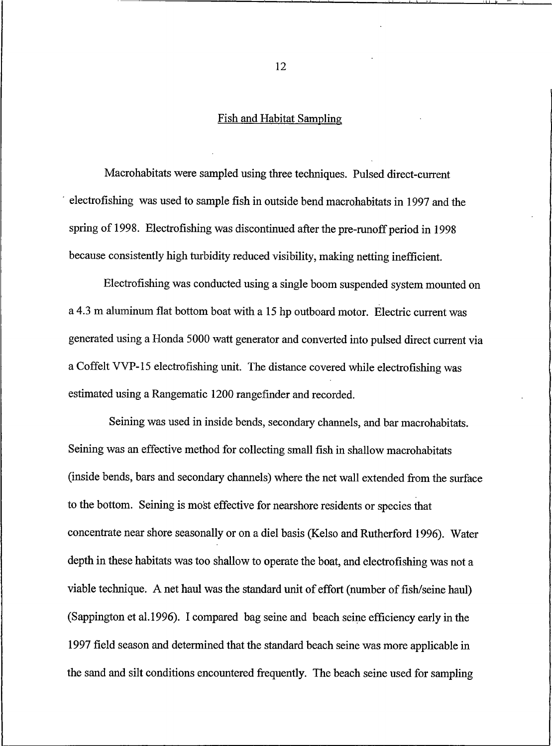#### Fish and Habitat Sampling

Macrohabitats were sampled using three techniques. Pulsed direct-current electrofishing was used to sample fish in outside bend macrohabitats in 1997 and the spring of 1998. Electrofishing was discontinued after the pre-runoff period in 1998 because consistently high turbidity reduced visibility, making netting inefficient.

Electrofishing was conducted using a single boom suspended system mounted on a 4.3 m aluminum flat bottom boat with a 15 hp outboard motor. Electric current was generated using a Honda 5000 watt generator and converted into pulsed direct current via a Coffelt VVP-15 electrofishing unit. The distance covered while electrofishing was estimated using a Rangematic 1200 rangefinder and recorded.

Seining was used in inside bends, secondary channels, and bar macrohabitats. Seining was an effective method for collecting small fish in shallow macrohabitats (inside bends, bars and secondary channels) where the net wall extended from the surface to the bottom. Seining is most effective for nearshore residents or species that concentrate near shore seasonally or on a diel basis (Kelso and Rutherford 1996). Water depth in these habitats was too shallow to operate the boat, and electrofishing was not a viable technique. A net haul was the standard unit of effort (number of fish/seine haul) (Sappington et al.1996). I compared bag seine and beach seine efficiency early in the 1997 field season and determined that the standard beach seine was more applicable in the sand and silt conditions encountered frequently. The beach seine used for sampling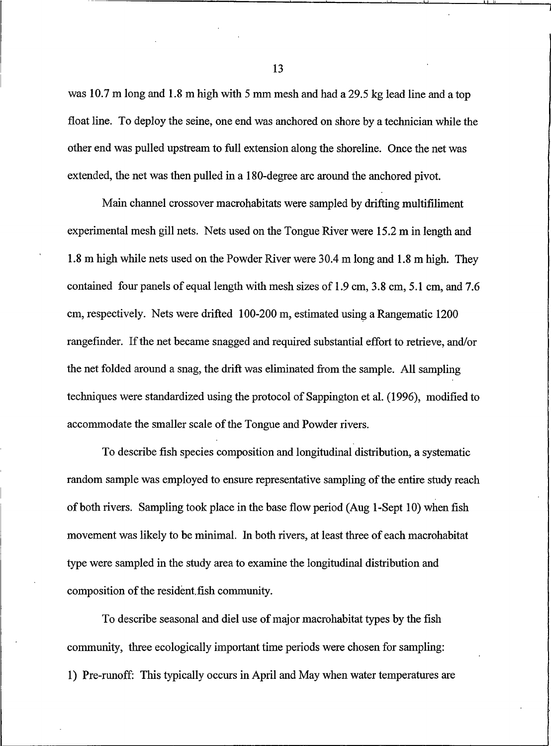was 10.7 m long and 1.8 m high with 5 mm mesh and had a 29.5 kg lead line and a top float line. To deploy the seine, one end was anchored on shore by a technician while the other end was pulled upstream to full extension along the shoreline. Once the net was extended, the net was then pulled in a 180-degree arc around the anchored pivot.

Main channel crossover macrohabitats were sampled by drifting multifiliment experimental mesh gill nets. Nets used on the Tongue River were 15.2 m in length and 1.8 m high while nets used on the Powder River were 30.4 m long and 1.8 m high. They contained four panels of equal length with mesh sizes of 1.9 cm, 3.8 cm, 5.1 cm, and 7.6 cm, respectively. Nets were drifted 100-200 m, estimated using a Rangematic 1200 rangefinder. If the net became snagged and required substantial effort to retrieve, and/or the net folded around a snag, the drift was eliminated from the sample. All sampling techniques were standardized using the protocol of Sappington et al. (1996), modified to accommodate the smaller scale of the Tongue and Powder rivers.

To describe fish species composition and longitudinal distribution, a systematic random sample was employed to ensure representative sampling of the entire study reach of both rivers. Sampling took place in the base flow period (Aug 1-Sept 10) when fish movement was likely to be minimal. In both rivers, at least three of each macrohabitat type were sampled in the study area to examine the longitudinal distribution and composition of the resident fish community.

To describe seasonal and diel use of major macrohabitat types by the fish community, three ecologically important time periods were chosen for sampling: 1) Pre-runoff: This typically occurs in April and May when water temperatures are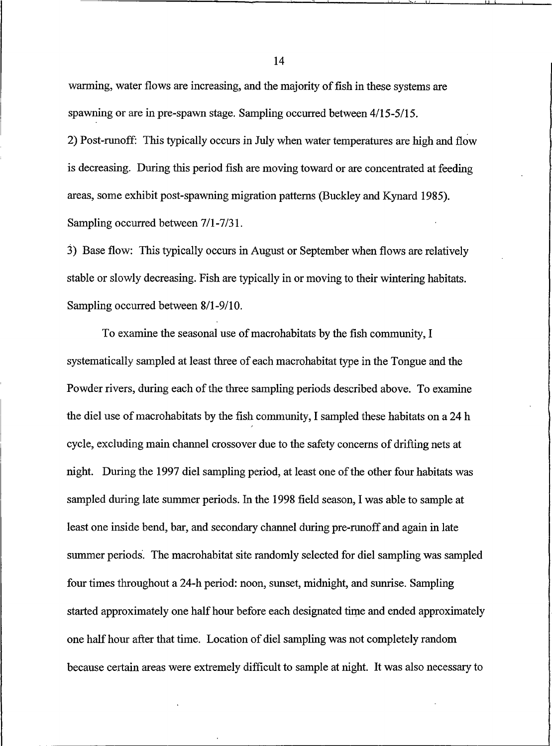warming, water flows are increasing, and the majority of fish in these systems are spawning or are in pre-spawn stage. Sampling occurred between 4/15-5/15.

2) Post-runoff: This typically occurs in July when water temperatures are high and flow is decreasing. During this period fish are moving toward or are concentrated at feeding areas, some exhibit post-spawning migration patterns (Buckley and Kynard 1985). Sampling occurred between 7/1-7/31.

3) Base flow: This typically occurs in August or September when flows are relatively stable or slowly decreasing. Fish are typically in or moving to their wintering habitats. Sampling occurred between 8/1-9/10.

To examine the seasonal use of macrohabitats by the fish community, I systematically sampled at least three of each macrohabitat type in the Tongue and the Powder rivers, during each of the three sampling periods described above. To examine the diel use of macrohabitats by the fish community, I sampled these habitats on a 24 h cycle, excluding main channel crossover due to the safety concerns of drifting nets at night. During the 1997 diel sampling period, at least one of the other four habitats was sampled during late summer periods. In the 1998 field season, I was able to sample at least one inside bend, bar, and secondary channel during pre-runoff and again in late summer periods. The macrohabitat site randomly selected for diel sampling was sampled four times throughout a 24-h period: noon, sunset, midnight, and sunrise. Sampling started approximately one half hour before each designated time and ended approximately one half hour after that time. Location of diel sampling was not completely random because certain areas were extremely difficult to sample at night. It was also necessary to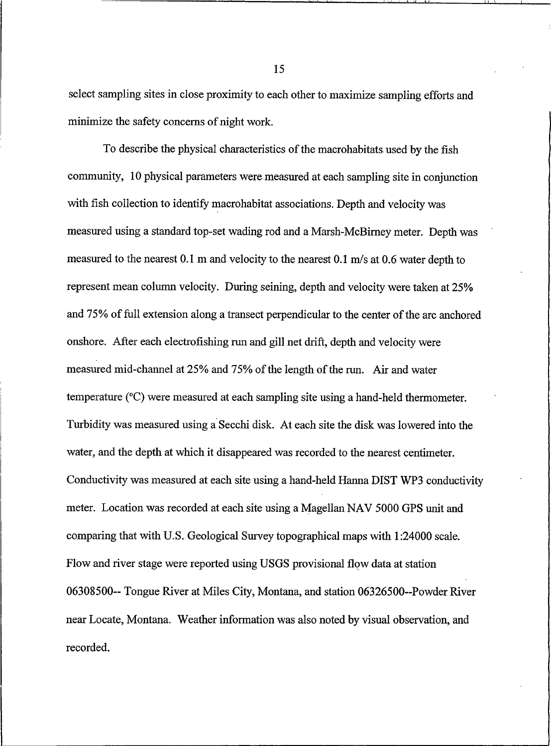select sampling sites in close proximity to each other to maximize sampling efforts and minimize the safety concerns of night work.

To describe the physical characteristics of the macrohabitats used by the fish community, 10 physical parameters were measured at each sampling site in conjunction with fish collection to identify macrohabitat associations. Depth and velocity was measured using a standard top-set wading rod and a Marsh-McBirney meter. Depth was measured to the nearest 0.1 m and velocity to the nearest 0.1 m/s at 0.6 water depth to represent mean column velocity. During seining, depth and velocity were taken at 25% and 75% of full extension along a transect perpendicular to the center of the arc anchored onshore. After each electrofishing run and gill net drift, depth and velocity were measured mid-channel at 25% and 75% of the length of the run. Air and water temperature  $(°C)$  were measured at each sampling site using a hand-held thermometer. Turbidity was measured using a Secchi disk. At each site the disk was lowered into the water, and the depth at which it disappeared was recorded to the nearest centimeter. Conductivity was measured at each site using a hand-held Hanna DIST WP3 conductivity meter. Location was recorded at each site using a Magellan NAV 5000 GPS unit and comparing that with U.S. Geological Survey topographical maps with 1:24000 scale. Flow and river stage were reported using USGS provisional flow data at station 06308500-- Tongue River at Miles City, Montana, and station 06326500--Powder River near Locate, Montana. Weather information was also noted by visual observation, and recorded.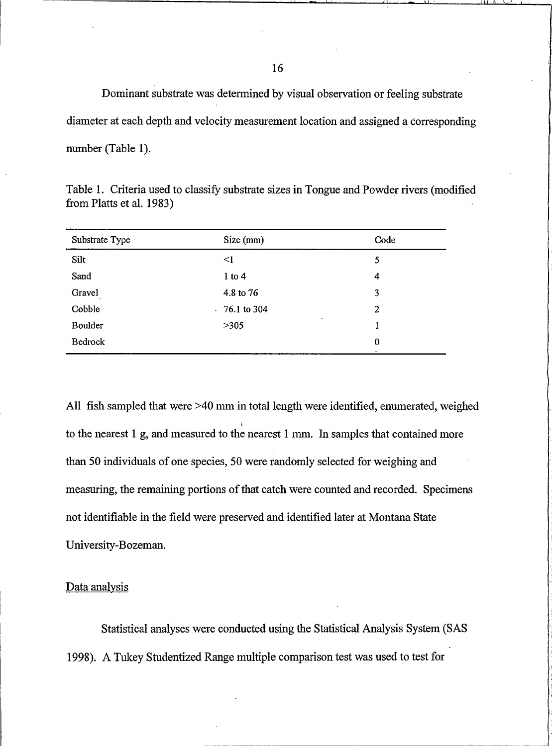Dominant substrate was determined by visual observation or feeling substrate diameter at each depth and velocity measurement location and assigned a corresponding number (Table 1).

| Code             |
|------------------|
| 5                |
| 4                |
| 3                |
| $\boldsymbol{2}$ |
| ۰1               |
| $\bf{0}$         |
|                  |

Table 1. Criteria used to classify substrate sizes in Tongue and Powder rivers (modified from Platts et al. 1983)

All fish sampled that were >40 mm in total length were identified, enumerated, weighed to the nearest 1 g, and measured to the nearest 1 mm. In samples that contained more than 50 individuals of one species, 50 were randomly selected for weighing and measuring, the remaining portions of that catch were counted and recorded. Specimens not identifiable in the field were preserved and identified later at Montana State University-Bozeman.

## Data analysis

Statistical analyses were conducted using the Statistical Analysis System (SAS 1998). A Tukey Studentized Range multiple comparison test was used to test for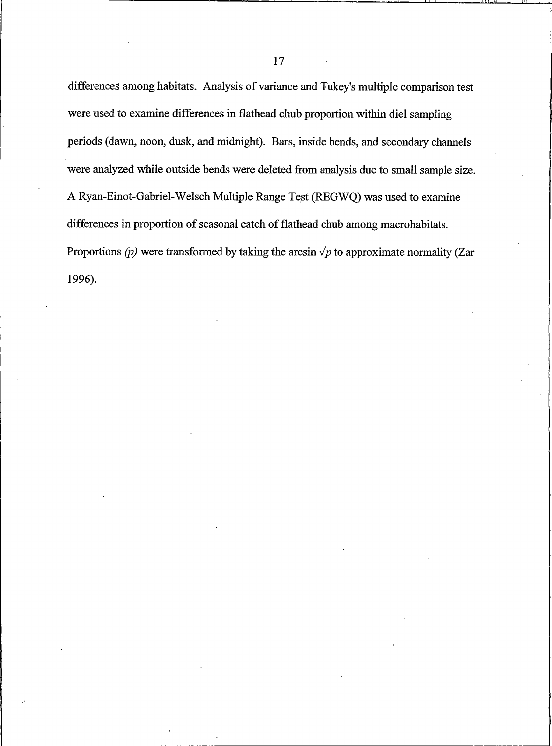differences among habitats. Analysis of variance and Tukey's multiple comparison test were used to examine differences in flathead chub proportion within diel sampling periods (dawn, noon, dusk, and midnight). Bars, inside bends, and secondary channels were analyzed while outside bends were deleted from analysis due to small sample size. A Ryan-Einot-Gabriel-Welsch Multiple Range Test (REGWO) was used to examine differences in proportion of seasonal catch of flathead chub among macrohabitats. Proportions (p) were transformed by taking the arcsin  $\sqrt{p}$  to approximate normality (Zar 1996).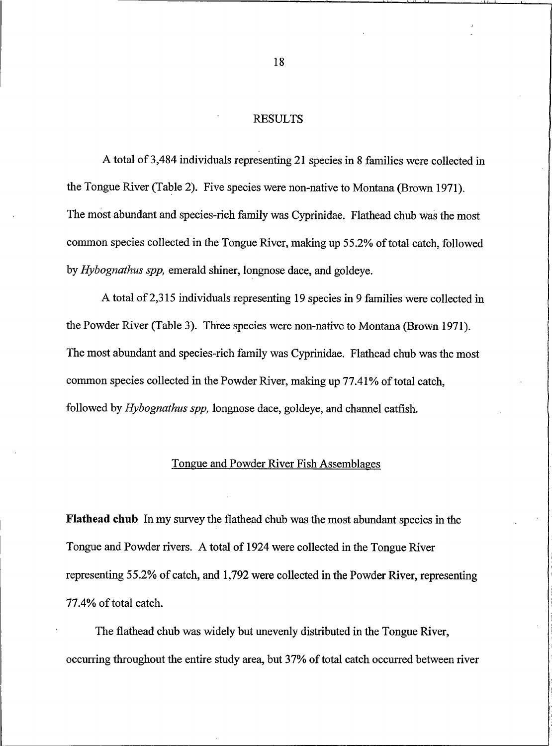#### **RESULTS**

<span id="page-28-0"></span>A total of 3,484 individuals representing 21 species in 8 families were collected in the Tongue River (Table 2). Five species were non-native to Montana (Brown 1971). The most abundant and species-rich family was Cyprinidae. Flathead chub was the most common species collected in the Tongue River, making up 55.2% of total catch, followed by *Hybognathus spp*, emerald shiner, longnose dace, and goldeye.

A total of 2,315 individuals representing 19 species in 9 families were collected in the Powder River (Table 3). Three species were non-native to Montana (Brown 1971). The most abundant and species-rich family was Cyprinidae. Flathead chub was the most common species collected in the Powder River, making up 77.41% of total catch. followed by Hybognathus spp, longnose dace, goldeye, and channel catfish.

## Tongue and Powder River Fish Assemblages

**Flathead chub** In my survey the flathead chub was the most abundant species in the Tongue and Powder rivers. A total of 1924 were collected in the Tongue River representing 55.2% of catch, and 1,792 were collected in the Powder River, representing 77.4% of total catch.

The flathead chub was widely but unevenly distributed in the Tongue River, occurring throughout the entire study area, but 37% of total catch occurred between river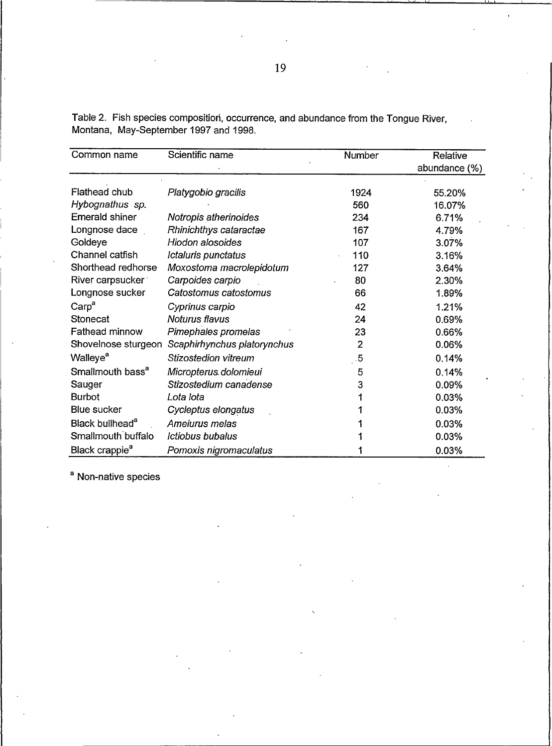| Common name                  | Scientific name             | Number         | Relative      |  |
|------------------------------|-----------------------------|----------------|---------------|--|
|                              |                             |                | abundance (%) |  |
| Flathead chub                |                             |                |               |  |
|                              | Platygobio gracilis         | 1924           | 55.20%        |  |
| Hybognathus sp.              |                             | 560            | 16.07%        |  |
| <b>Emerald shiner</b>        | Notropis atherinoides       | 234            | 6.71%         |  |
| Longnose dace                | Rhinichthys cataractae      | 167            | 4.79%         |  |
| Goldeye                      | Hiodon alosoides            | 107            | 3.07%         |  |
| Channel catfish              | Ictaluris punctatus         | 110            | 3.16%         |  |
| Shorthead redhorse           | Moxostoma macrolepidotum    | 127            | 3.64%         |  |
| River carpsucker             | Carpoides carpio            | 80             | 2.30%         |  |
| Longnose sucker              | Catostomus catostomus       | 66             | 1.89%         |  |
| Carp <sup>a</sup>            | Cyprinus carpio             | 42             | 1.21%         |  |
| Stonecat                     | Noturus flavus              | 24             | 0.69%         |  |
| Fathead minnow               | Pimephales promelas         | 23             | 0.66%         |  |
| Shovelnose sturgeon          | Scaphirhynchus platorynchus | $\overline{2}$ | 0.06%         |  |
| Walleye <sup>a</sup>         | Stizostedion vitreum        | $\sqrt{5}$     | 0.14%         |  |
| Smallmouth bass <sup>a</sup> | Micropterus dolomieui       | 5              | 0.14%         |  |
| Sauger                       | Stizostedium canadense      | 3              | 0.09%         |  |
| <b>Burbot</b>                | Lota lota                   |                | 0.03%         |  |
| <b>Blue sucker</b>           | Cycleptus elongatus         |                | 0.03%         |  |
| Black bullhead <sup>a</sup>  | Ameiurus melas              |                | 0.03%         |  |
| Smallmouth buffalo           | Ictiobus bubalus            |                | 0.03%         |  |
| Black crappie <sup>a</sup>   | Pomoxis nigromaculatus      |                | 0.03%         |  |

Table 2. Fish species composition, occurrence, and abundance from the Tongue River, Montana, May-September 1997 and 1998.

<sup>a</sup> Non-native species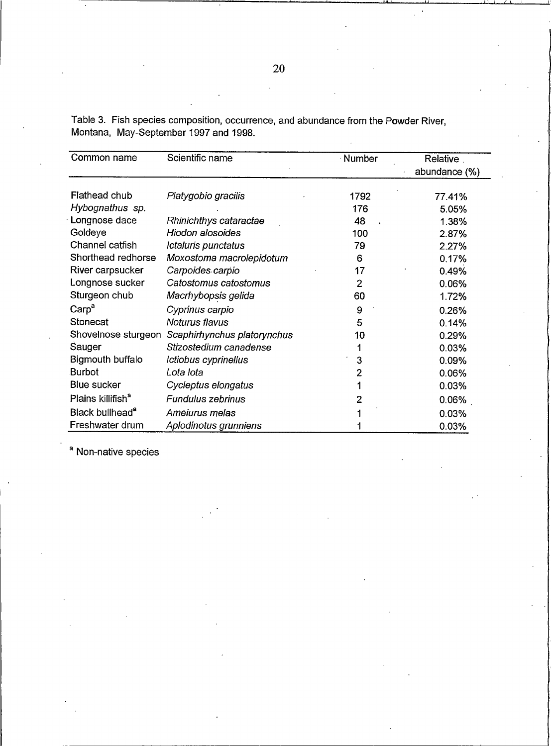| Common name                   | Scientific name             | · Number | Relative      |  |
|-------------------------------|-----------------------------|----------|---------------|--|
|                               |                             |          | abundance (%) |  |
|                               |                             |          |               |  |
| Flathead chub                 | Platygobio gracilis         | 1792     | 77.41%        |  |
| Hybognathus sp.               |                             | 176      | 5.05%         |  |
| Longnose dace                 | Rhinichthys cataractae      | 48       | 1.38%         |  |
| Goldeye                       | Hiodon alosoides            | 100      | 2.87%         |  |
| Channel catfish               | Ictaluris punctatus         | 79       | 2.27%         |  |
| Shorthead redhorse            | Moxostoma macrolepidotum    | 6        | 0.17%         |  |
| River carpsucker              | Carpoides carpio            | 17       | 0.49%         |  |
| Longnose sucker               | Catostomus catostomus       | 2        | 0.06%         |  |
| Sturgeon chub                 | Macrhybopsis gelida         | 60       | 1.72%         |  |
| Carp <sup>a</sup>             | Cyprinus carpio             | 9        | 0.26%         |  |
| Stonecat                      | Noturus flavus              | 5        | 0.14%         |  |
| Shovelnose sturgeon           | Scaphirhynchus platorynchus | 10       | 0.29%         |  |
| Sauger                        | Stizostedium canadense      | 1        | 0.03%         |  |
| <b>Bigmouth buffalo</b>       | Ictiobus cyprinellus        | 3        | 0.09%         |  |
| Burbot                        | Lota lota                   | 2        | 0.06%         |  |
| Blue sucker                   | Cycleptus elongatus         | 1        | 0.03%         |  |
| Plains killifish <sup>a</sup> | Fundulus zebrinus           | 2        | 0.06%         |  |
| Black bullhead <sup>a</sup>   | Ameiurus melas              |          | 0.03%         |  |
| Freshwater drum               | Aplodinotus grunniens       |          | 0.03%         |  |

Table 3. Fish species composition, occurrence, and abundance from the Powder River, Montana, May-September 1997 and 1998.

<sup>a</sup> Non-native species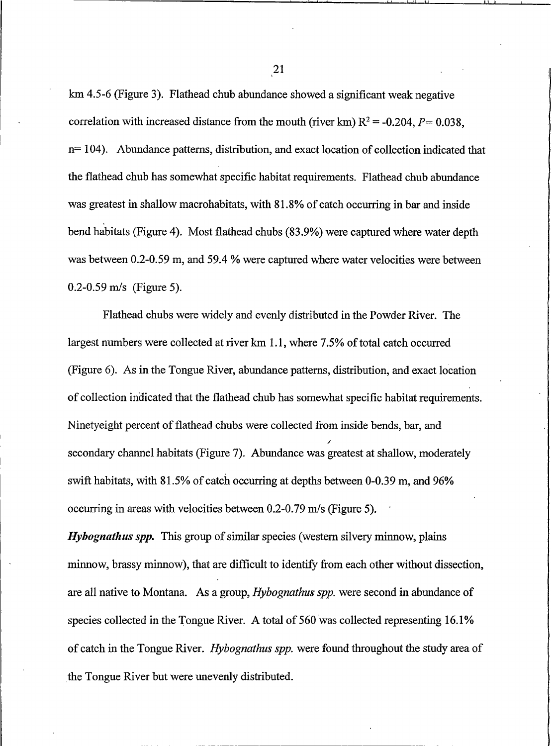km 4.5-6 (Figure 3). Flathead chub abundance showed a significant weak negative correlation with increased distance from the mouth (river km)  $R^2 = -0.204$ ,  $P = 0.038$ ,  $n=104$ ). Abundance patterns, distribution, and exact location of collection indicated that the flathead chub has somewhat specific habitat requirements. Flathead chub abundance was greatest in shallow macrohabitats, with 81.8% of catch occurring in bar and inside bend habitats (Figure 4). Most flathead chubs (83.9%) were captured where water depth was between 0.2-0.59 m, and 59.4 % were captured where water velocities were between  $0.2 - 0.59$  m/s (Figure 5).

Flathead chubs were widely and evenly distributed in the Powder River. The largest numbers were collected at river km 1.1, where 7.5% of total catch occurred (Figure 6). As in the Tongue River, abundance patterns, distribution, and exact location of collection indicated that the flathead chub has somewhat specific habitat requirements. Ninetyeight percent of flathead chubs were collected from inside bends, bar, and secondary channel habitats (Figure 7). Abundance was greatest at shallow, moderately swift habitats, with 81.5% of catch occurring at depths between 0-0.39 m, and 96% occurring in areas with velocities between 0.2-0.79 m/s (Figure 5).

*Hybognathus spp.* This group of similar species (western silvery minnow, plains minnow, brassy minnow), that are difficult to identify from each other without dissection, are all native to Montana. As a group, *Hybognathus spp*. were second in abundance of species collected in the Tongue River. A total of 560 was collected representing 16.1% of catch in the Tongue River. Hybognathus spp. were found throughout the study area of the Tongue River but were unevenly distributed.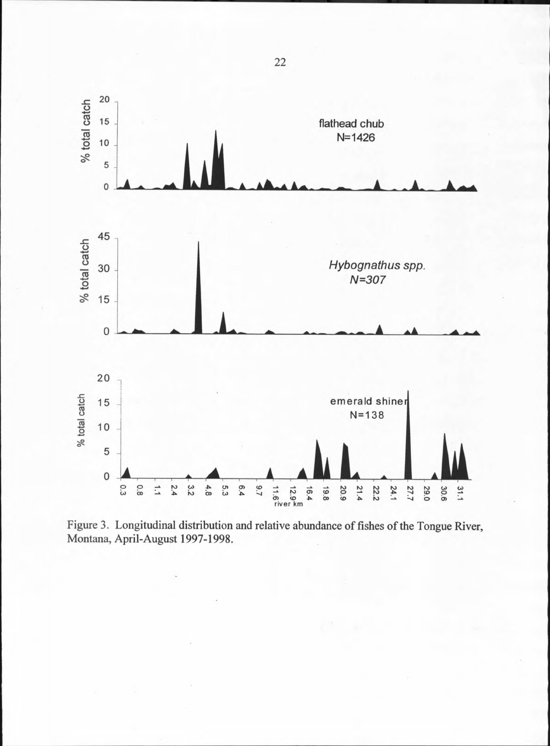

Figure 3. Longitudinal distribution and relative abundance of fishes of the Tongue River, Montana, April-August 1997-1998.